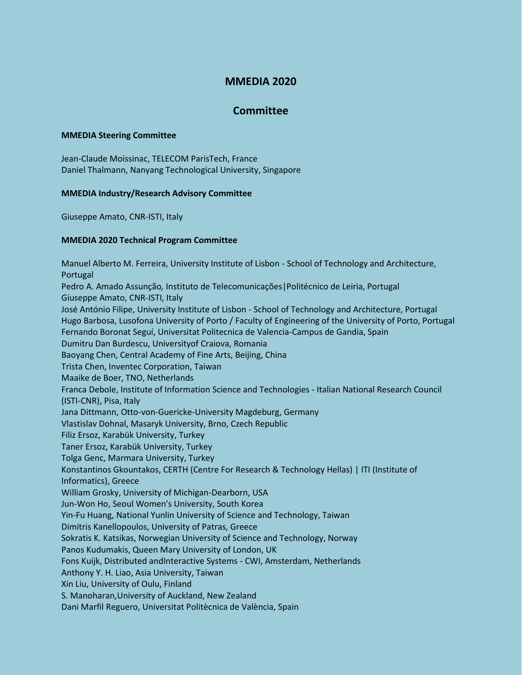# **MMEDIA 2020**

## **Committee**

### **MMEDIA Steering Committee**

Jean-Claude Moissinac, TELECOM ParisTech, France Daniel Thalmann, Nanyang Technological University, Singapore

### **MMEDIA Industry/Research Advisory Committee**

Giuseppe Amato, CNR-ISTI, Italy

### **MMEDIA 2020 Technical Program Committee**

Manuel Alberto M. Ferreira, University Institute of Lisbon - School of Technology and Architecture, Portugal Pedro A. Amado Assunção*,* Instituto de Telecomunicações|Politécnico de Leiria, Portugal Giuseppe Amato, CNR-ISTI, Italy José António Filipe, University Institute of Lisbon - School of Technology and Architecture, Portugal Hugo Barbosa, Lusofona University of Porto / Faculty of Engineering of the University of Porto, Portugal Fernando Boronat Seguí, Universitat Politecnica de Valencia-Campus de Gandia, Spain Dumitru Dan Burdescu, Universityof Craiova, Romania Baoyang Chen, Central Academy of Fine Arts, Beijing, China Trista Chen, Inventec Corporation, Taiwan Maaike de Boer, TNO, Netherlands Franca Debole, Institute of Information Science and Technologies - Italian National Research Council (ISTI-CNR), Pisa, Italy Jana Dittmann, Otto-von-Guericke-University Magdeburg, Germany Vlastislav Dohnal, Masaryk University, Brno, Czech Republic Filiz Ersoz, Karabük University, Turkey Taner Ersoz, Karabük University, Turkey Tolga Genc, Marmara University, Turkey Konstantinos Gkountakos, CERTH (Centre For Research & Technology Hellas) | ITI (Institute of Informatics), Greece William Grosky, University of Michigan-Dearborn, USA Jun-Won Ho, Seoul Women's University, South Korea Yin-Fu Huang, National Yunlin University of Science and Technology, Taiwan Dimitris Kanellopoulos, University of Patras, Greece Sokratis K. Katsikas, Norwegian University of Science and Technology, Norway Panos Kudumakis, Queen Mary University of London, UK Fons Kuijk, Distributed andInteractive Systems - CWI, Amsterdam, Netherlands Anthony Y. H. Liao, Asia University, Taiwan Xin Liu, University of Oulu, Finland S. Manoharan,University of Auckland, New Zealand Dani Marfil Reguero, Universitat Politècnica de València, Spain